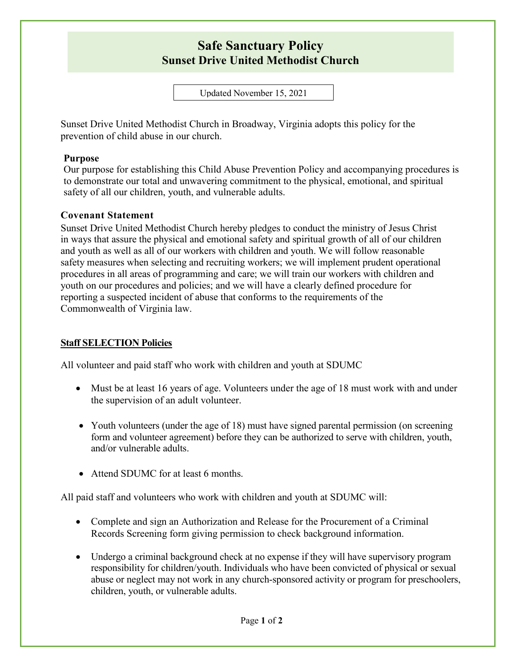## **Safe Sanctuary Policy Sunset Drive United Methodist Church**

Updated November 15, 2021

Sunset Drive United Methodist Church in Broadway, Virginia adopts this policy for the prevention of child abuse in our church.

#### **Purpose**

Our purpose for establishing this Child Abuse Prevention Policy and accompanying procedures is to demonstrate our total and unwavering commitment to the physical, emotional, and spiritual safety of all our children, youth, and vulnerable adults.

### **Covenant Statement**

Sunset Drive United Methodist Church hereby pledges to conduct the ministry of Jesus Christ in ways that assure the physical and emotional safety and spiritual growth of all of our children and youth as well as all of our workers with children and youth. We will follow reasonable safety measures when selecting and recruiting workers; we will implement prudent operational procedures in all areas of programming and care; we will train our workers with children and youth on our procedures and policies; and we will have a clearly defined procedure for reporting a suspected incident of abuse that conforms to the requirements of the Commonwealth of Virginia law.

#### **Staff SELECTION Policies**

All volunteer and paid staff who work with children and youth at SDUMC

- Must be at least 16 years of age. Volunteers under the age of 18 must work with and under the supervision of an adult volunteer.
- Youth volunteers (under the age of 18) must have signed parental permission (on screening form and volunteer agreement) before they can be authorized to serve with children, youth, and/or vulnerable adults.
- Attend SDUMC for at least 6 months.

All paid staff and volunteers who work with children and youth at SDUMC will:

- Complete and sign an Authorization and Release for the Procurement of a Criminal Records Screening form giving permission to check background information.
- Undergo a criminal background check at no expense if they will have supervisory program responsibility for children/youth. Individuals who have been convicted of physical or sexual abuse or neglect may not work in any church-sponsored activity or program for preschoolers, children, youth, or vulnerable adults.